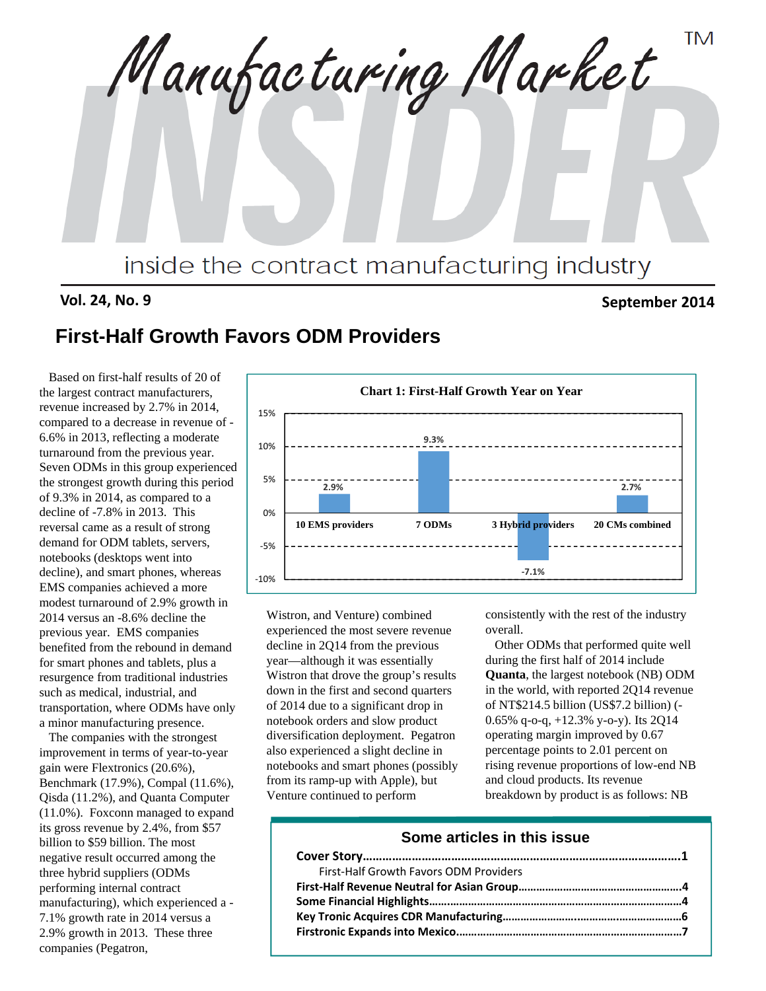**TM** Manufacturing Market inside the contract manufacturing industry

# **Vol. 24, No. 9 September 2014**

# **First-Half Growth Favors ODM Providers**

Based on first-half results of 20 of the largest contract manufacturers, revenue increased by 2.7% in 2014, compared to a decrease in revenue of - 6.6% in 2013, reflecting a moderate turnaround from the previous year. Seven ODMs in this group experienced the strongest growth during this period of 9.3% in 2014, as compared to a decline of -7.8% in 2013. This reversal came as a result of strong demand for ODM tablets, servers, notebooks (desktops went into decline), and smart phones, whereas EMS companies achieved a more modest turnaround of 2.9% growth in 2014 versus an -8.6% decline the previous year. EMS companies benefited from the rebound in demand for smart phones and tablets, plus a resurgence from traditional industries such as medical, industrial, and transportation, where ODMs have only a minor manufacturing presence.

The companies with the strongest improvement in terms of year-to-year gain were Flextronics (20.6%), Benchmark (17.9%), Compal (11.6%), Qisda (11.2%), and Quanta Computer (11.0%). Foxconn managed to expand its gross revenue by 2.4%, from \$57 billion to \$59 billion. The most negative result occurred among the three hybrid suppliers (ODMs performing internal contract manufacturing), which experienced a - 7.1% growth rate in 2014 versus a 2.9% growth in 2013. These three companies (Pegatron,



Wistron, and Venture) combined experienced the most severe revenue decline in 2Q14 from the previous year—although it was essentially Wistron that drove the group's results down in the first and second quarters of 2014 due to a significant drop in notebook orders and slow product diversification deployment. Pegatron also experienced a slight decline in notebooks and smart phones (possibly from its ramp-up with Apple), but Venture continued to perform

consistently with the rest of the industry overall.

Other ODMs that performed quite well during the first half of 2014 include **Quanta**, the largest notebook (NB) ODM in the world, with reported 2Q14 revenue of NT\$214.5 billion (US\$7.2 billion) (- 0.65% q-o-q, +12.3% y-o-y). Its 2Q14 operating margin improved by 0.67 percentage points to 2.01 percent on rising revenue proportions of low-end NB and cloud products. Its revenue breakdown by product is as follows: NB

## **Some articles in this issue**

| First-Half Growth Favors ODM Providers |  |
|----------------------------------------|--|
|                                        |  |
|                                        |  |
|                                        |  |
|                                        |  |
|                                        |  |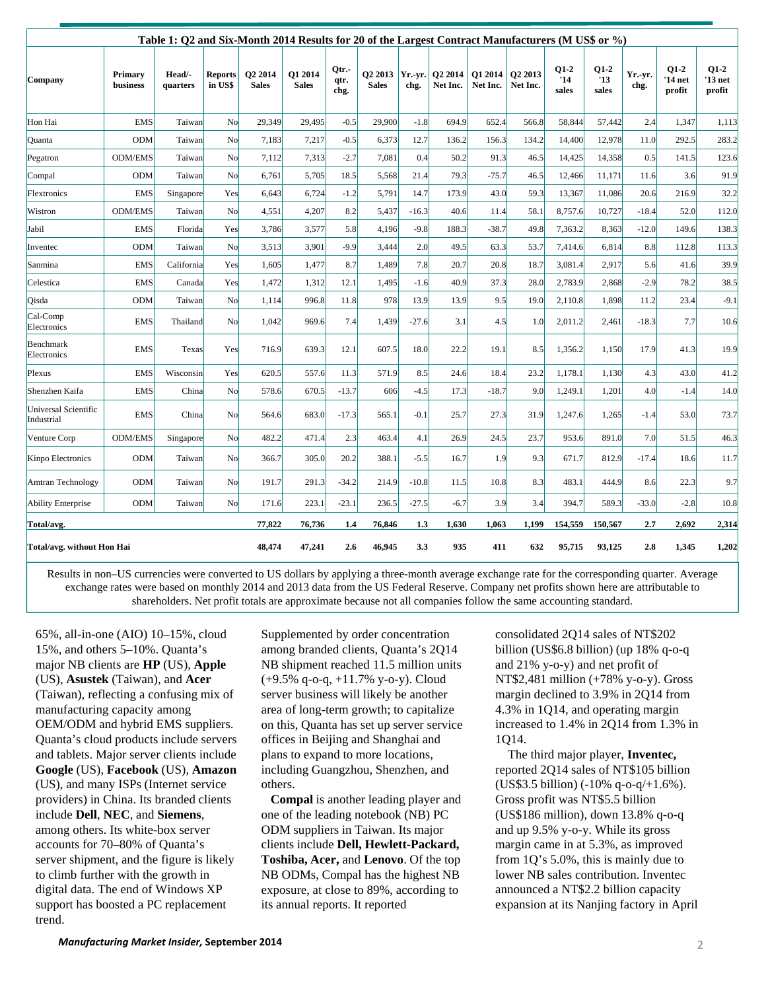| Table 1: Q2 and Six-Month 2014 Results for 20 of the Largest Contract Manufacturers (M US\$ or %) |                     |                    |                           |                         |                         |                       |                                     |                 |                                 |                     |                     |                        |                        |                 |                             |                             |
|---------------------------------------------------------------------------------------------------|---------------------|--------------------|---------------------------|-------------------------|-------------------------|-----------------------|-------------------------------------|-----------------|---------------------------------|---------------------|---------------------|------------------------|------------------------|-----------------|-----------------------------|-----------------------------|
| Company                                                                                           | Primary<br>business | Head/-<br>quarters | <b>Reports</b><br>in US\$ | O2 2014<br><b>Sales</b> | O1 2014<br><b>Sales</b> | Qtr.-<br>qtr.<br>chg. | O <sub>2</sub> 2013<br><b>Sales</b> | Yr. vr.<br>chg. | O <sub>2</sub> 2014<br>Net Inc. | O1 2014<br>Net Inc. | O2 2013<br>Net Inc. | $Q1-2$<br>'14<br>sales | $Q1-2$<br>'13<br>sales | Yr.-yr.<br>chg. | $Q1-2$<br>'14 net<br>profit | $Q1-2$<br>'13 net<br>profit |
| Hon Hai                                                                                           | <b>EMS</b>          | Taiwan             | N <sub>o</sub>            | 29,349                  | 29,495                  | $-0.5$                | 29,900                              | $-1.8$          | 694.9                           | 652.4               | 566.8               | 58,844                 | 57,442                 | 2.4             | 1,347                       | 1,113                       |
| Quanta                                                                                            | <b>ODM</b>          | Taiwan             | No                        | 7,183                   | 7,217                   | $-0.5$                | 6,373                               | 12.7            | 136.2                           | 156.3               | 134.2               | 14,400                 | 12,978                 | 11.0            | 292.5                       | 283.2                       |
| Pegatron                                                                                          | <b>ODM/EMS</b>      | Taiwan             | N <sub>o</sub>            | 7,112                   | 7,313                   | $-2.7$                | 7,081                               | 0.4             | 50.2                            | 91.3                | 46.5                | 14,425                 | 14,358                 | 0.5             | 141.5                       | 123.6                       |
| Compal                                                                                            | <b>ODM</b>          | Taiwan             | No                        | 6,761                   | 5,705                   | 18.5                  | 5,568                               | 21.4            | 79.3                            | $-75.7$             | 46.5                | 12,466                 | 11,171                 | 11.6            | 3.6                         | 91.9                        |
| Flextronics                                                                                       | <b>EMS</b>          | Singapore          | Yes                       | 6,643                   | 6,724                   | $-1.2$                | 5,791                               | 14.7            | 173.9                           | 43.0                | 59.3                | 13,367                 | 11,086                 | 20.6            | 216.9                       | 32.2                        |
| Wistron                                                                                           | <b>ODM/EMS</b>      | Taiwan             | No                        | 4,551                   | 4,207                   | 8.2                   | 5,437                               | $-16.3$         | 40.6                            | 11.4                | 58.1                | 8,757.6                | 10,727                 | $-18.4$         | 52.0                        | 112.0                       |
| Jabil                                                                                             | <b>EMS</b>          | Florida            | Yes                       | 3,786                   | 3,577                   | 5.8                   | 4,196                               | $-9.8$          | 188.3                           | $-38.7$             | 49.8                | 7,363.2                | 8,363                  | $-12.0$         | 149.6                       | 138.3                       |
| Inventec                                                                                          | <b>ODM</b>          | Taiwan             | No                        | 3,513                   | 3,901                   | $-9.9$                | 3,444                               | 2.0             | 49.5                            | 63.3                | 53.7                | 7,414.6                | 6,814                  | 8.8             | 112.8                       | 113.3                       |
| Sanmina                                                                                           | <b>EMS</b>          | California         | Yes                       | 1,605                   | 1,477                   | 8.7                   | 1,489                               | 7.8             | 20.7                            | 20.8                | 18.7                | 3,081.4                | 2,917                  | 5.6             | 41.6                        | 39.9                        |
| Celestica                                                                                         | <b>EMS</b>          | Canada             | Yes                       | 1,472                   | 1,312                   | 12.1                  | 1,495                               | $-1.6$          | 40.9                            | 37.3                | 28.0                | 2,783.9                | 2,868                  | $-2.9$          | 78.2                        | 38.5                        |
| Oisda                                                                                             | <b>ODM</b>          | Taiwan             | N <sub>o</sub>            | 1.114                   | 996.8                   | 11.8                  | 978                                 | 13.9            | 13.9                            | 9.5                 | 19.0                | 2,110.8                | 1,898                  | 11.2            | 23.4                        | $-9.1$                      |
| Cal-Comp<br>Electronics                                                                           | <b>EMS</b>          | Thailand           | No                        | 1.042                   | 969.6                   | 7.4                   | 1,439                               | $-27.6$         | 3.1                             | 4.5                 | 1.0                 | 2,011.2                | 2,461                  | $-18.3$         | 7.7                         | 10.6                        |
| Benchmark<br>Electronics                                                                          | <b>EMS</b>          | Texas              | Yes                       | 716.9                   | 639.3                   | 12.1                  | 607.5                               | 18.0            | 22.2                            | 19.1                | 8.5                 | 1,356.2                | 1,150                  | 17.9            | 41.3                        | 19.9                        |
| Plexus                                                                                            | <b>EMS</b>          | Wisconsin          | Yes                       | 620.5                   | 557.6                   | 11.3                  | 571.9                               | 8.5             | 24.6                            | 18.4                | 23.2                | 1,178.1                | 1,130                  | 4.3             | 43.0                        | 41.2                        |
| Shenzhen Kaifa                                                                                    | <b>EMS</b>          | China              | No                        | 578.6                   | 670.5                   | $-13.7$               | 606                                 | $-4.5$          | 17.3                            | $-18.7$             | 9.0                 | 1,249.1                | 1,201                  | 4.0             | $-1.4$                      | 14.0                        |
| Universal Scientific<br>Industrial                                                                | <b>EMS</b>          | China              | No                        | 564.6                   | 683.0                   | $-17.3$               | 565.1                               | $-0.1$          | 25.7                            | 27.3                | 31.9                | 1,247.6                | 1,265                  | $-1.4$          | 53.0                        | 73.7                        |
| Venture Corp                                                                                      | <b>ODM/EMS</b>      | Singapore          | No                        | 482.2                   | 471.4                   | 2.3                   | 463.4                               | 4.1             | 26.9                            | 24.5                | 23.7                | 953.6                  | 891.0                  | 7.0             | 51.5                        | 46.3                        |
| Kinpo Electronics                                                                                 | <b>ODM</b>          | Taiwan             | N <sub>o</sub>            | 366.7                   | 305.0                   | 20.2                  | 388.1                               | $-5.5$          | 16.7                            | 1.9                 | 9.3                 | 671.7                  | 812.9                  | $-17.4$         | 18.6                        | 11.7                        |
| Amtran Technology                                                                                 | <b>ODM</b>          | Taiwan             | No                        | 191.7                   | 291.3                   | $-34.2$               | 214.9                               | $-10.8$         | 11.5                            | 10.8                | 8.3                 | 483.1                  | 444.9                  | 8.6             | 22.3                        | 9.7                         |
| <b>Ability Enterprise</b>                                                                         | <b>ODM</b>          | Taiwan             | No                        | 171.6                   | 223.1                   | $-23.1$               | 236.5                               | $-27.5$         | $-6.7$                          | 3.9                 | 3.4                 | 394.7                  | 589.3                  | $-33.0$         | $-2.8$                      | 10.8                        |
| Total/avg.                                                                                        |                     |                    |                           | 77,822                  | 76,736                  | 1.4                   | 76,846                              | 1.3             | 1,630                           | 1,063               | 1,199               | 154,559                | 150,567                | 2.7             | 2,692                       | 2,314                       |
| Total/avg. without Hon Hai                                                                        |                     |                    |                           | 48,474                  | 47,241                  | 2.6                   | 46,945                              | 3.3             | 935                             | 411                 | 632                 | 95,715                 | 93,125                 | 2.8             | 1,345                       | 1,202                       |

Results in non–US currencies were converted to US dollars by applying a three-month average exchange rate for the corresponding quarter. Average exchange rates were based on monthly 2014 and 2013 data from the US Federal Reserve. Company net profits shown here are attributable to shareholders. Net profit totals are approximate because not all companies follow the same accounting standard.

65%, all-in-one (AIO) 10–15%, cloud 15%, and others 5–10%. Quanta's major NB clients are **HP** (US), **Apple** (US), **Asustek** (Taiwan), and **Acer** (Taiwan), reflecting a confusing mix of manufacturing capacity among OEM/ODM and hybrid EMS suppliers. Quanta's cloud products include servers and tablets. Major server clients include **Google** (US), **Facebook** (US), **Amazon** (US), and many ISPs (Internet service providers) in China. Its branded clients include **Dell**, **NEC**, and **Siemens**, among others. Its white-box server accounts for 70–80% of Quanta's server shipment, and the figure is likely to climb further with the growth in digital data. The end of Windows XP support has boosted a PC replacement trend.

Supplemented by order concentration among branded clients, Quanta's 2Q14 NB shipment reached 11.5 million units (+9.5% q-o-q, +11.7% y-o-y). Cloud server business will likely be another area of long-term growth; to capitalize on this, Quanta has set up server service offices in Beijing and Shanghai and plans to expand to more locations, including Guangzhou, Shenzhen, and others.

**Compal** is another leading player and one of the leading notebook (NB) PC ODM suppliers in Taiwan. Its major clients include **Dell, Hewlett-Packard, Toshiba, Acer,** and **Lenovo**. Of the top NB ODMs, Compal has the highest NB exposure, at close to 89%, according to its annual reports. It reported

consolidated 2Q14 sales of NT\$202 billion (US\$6.8 billion) (up 18% q-o-q and 21% y-o-y) and net profit of NT\$2,481 million (+78% y-o-y). Gross margin declined to 3.9% in 2Q14 from 4.3% in 1Q14, and operating margin increased to 1.4% in 2Q14 from 1.3% in 1Q14.

The third major player, **Inventec,** reported 2Q14 sales of NT\$105 billion (US\$3.5 billion) (-10% q-o-q/+1.6%). Gross profit was NT\$5.5 billion (US\$186 million), down 13.8% q-o-q and up 9.5% y-o-y. While its gross margin came in at 5.3%, as improved from 1Q's 5.0%, this is mainly due to lower NB sales contribution. Inventec announced a NT\$2.2 billion capacity expansion at its Nanjing factory in April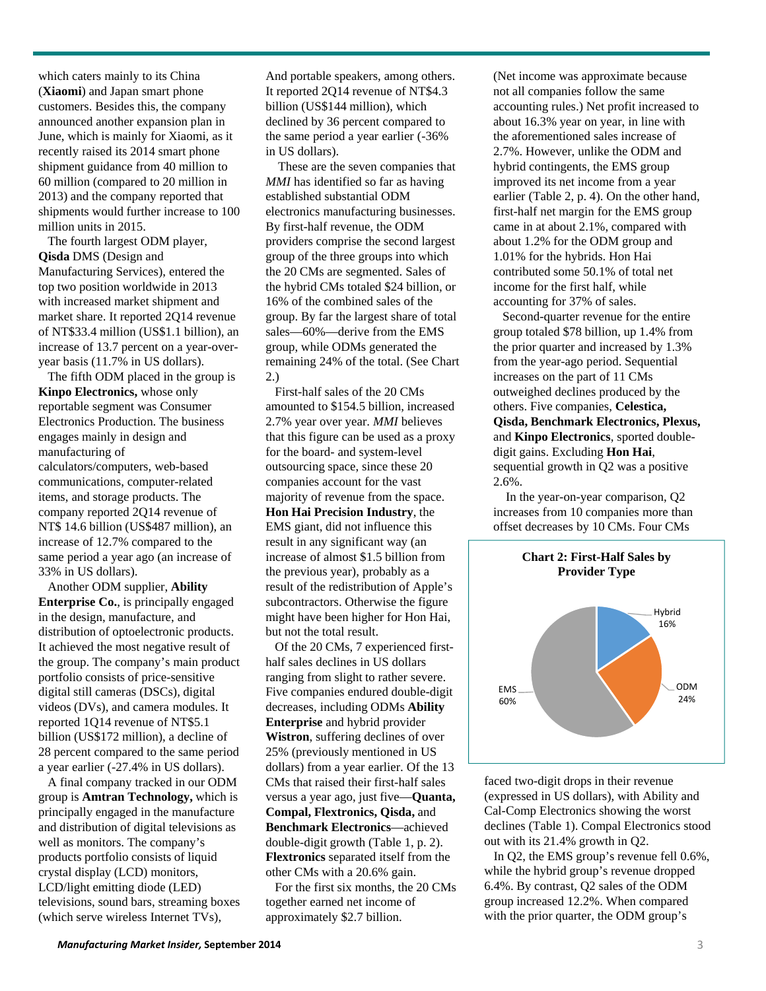which caters mainly to its China (**Xiaomi**) and Japan smart phone customers. Besides this, the company announced another expansion plan in June, which is mainly for Xiaomi, as it recently raised its 2014 smart phone shipment guidance from 40 million to 60 million (compared to 20 million in 2013) and the company reported that shipments would further increase to 100 million units in 2015.

The fourth largest ODM player, **Qisda** DMS (Design and Manufacturing Services), entered the top two position worldwide in 2013 with increased market shipment and market share. It reported 2Q14 revenue of NT\$33.4 million (US\$1.1 billion), an increase of 13.7 percent on a year-overyear basis (11.7% in US dollars).

The fifth ODM placed in the group is **Kinpo Electronics,** whose only reportable segment was Consumer Electronics Production. The business engages mainly in design and manufacturing of

calculators/computers, web-based communications, computer-related items, and storage products. The company reported 2Q14 revenue of NT\$ 14.6 billion (US\$487 million), an increase of 12.7% compared to the same period a year ago (an increase of 33% in US dollars).

Another ODM supplier, **Ability Enterprise Co.**, is principally engaged in the design, manufacture, and distribution of optoelectronic products. It achieved the most negative result of the group. The company's main product portfolio consists of price-sensitive digital still cameras (DSCs), digital videos (DVs), and camera modules. It reported 1Q14 revenue of NT\$5.1 billion (US\$172 million), a decline of 28 percent compared to the same period a year earlier (-27.4% in US dollars).

A final company tracked in our ODM group is **Amtran Technology,** which is principally engaged in the manufacture and distribution of digital televisions as well as monitors. The company's products portfolio consists of liquid crystal display (LCD) monitors, LCD/light emitting diode (LED) televisions, sound bars, streaming boxes (which serve wireless Internet TVs),

And portable speakers, among others. It reported 2Q14 revenue of NT\$4.3 billion (US\$144 million), which declined by 36 percent compared to the same period a year earlier (-36% in US dollars).

These are the seven companies that *MMI* has identified so far as having established substantial ODM electronics manufacturing businesses. By first-half revenue, the ODM providers comprise the second largest group of the three groups into which the 20 CMs are segmented. Sales of the hybrid CMs totaled \$24 billion, or 16% of the combined sales of the group. By far the largest share of total sales—60%—derive from the EMS group, while ODMs generated the remaining 24% of the total. (See Chart 2.)

First-half sales of the 20 CMs amounted to \$154.5 billion, increased 2.7% year over year. *MMI* believes that this figure can be used as a proxy for the board- and system-level outsourcing space, since these 20 companies account for the vast majority of revenue from the space. **Hon Hai Precision Industry**, the EMS giant, did not influence this result in any significant way (an increase of almost \$1.5 billion from the previous year), probably as a result of the redistribution of Apple's subcontractors. Otherwise the figure might have been higher for Hon Hai, but not the total result.

Of the 20 CMs, 7 experienced firsthalf sales declines in US dollars ranging from slight to rather severe. Five companies endured double-digit decreases, including ODMs **Ability Enterprise** and hybrid provider **Wistron**, suffering declines of over 25% (previously mentioned in US dollars) from a year earlier. Of the 13 CMs that raised their first-half sales versus a year ago, just five—**Quanta, Compal, Flextronics, Qisda,** and **Benchmark Electronics**—achieved double-digit growth (Table 1, p. 2). **Flextronics** separated itself from the other CMs with a 20.6% gain.

For the first six months, the 20 CMs together earned net income of approximately \$2.7 billion.

(Net income was approximate because not all companies follow the same accounting rules.) Net profit increased to about 16.3% year on year, in line with the aforementioned sales increase of 2.7%. However, unlike the ODM and hybrid contingents, the EMS group improved its net income from a year earlier (Table 2, p. 4). On the other hand, first-half net margin for the EMS group came in at about 2.1%, compared with about 1.2% for the ODM group and 1.01% for the hybrids. Hon Hai contributed some 50.1% of total net income for the first half, while accounting for 37% of sales.

Second-quarter revenue for the entire group totaled \$78 billion, up 1.4% from the prior quarter and increased by 1.3% from the year-ago period. Sequential increases on the part of 11 CMs outweighed declines produced by the others. Five companies, **Celestica, Qisda, Benchmark Electronics, Plexus,** and **Kinpo Electronics**, sported doubledigit gains. Excluding **Hon Hai**, sequential growth in Q2 was a positive 2.6%.

In the year-on-year comparison, Q2 increases from 10 companies more than offset decreases by 10 CMs. Four CMs



faced two-digit drops in their revenue (expressed in US dollars), with Ability and Cal-Comp Electronics showing the worst declines (Table 1). Compal Electronics stood out with its 21.4% growth in Q2.

In Q2, the EMS group's revenue fell 0.6%, while the hybrid group's revenue dropped 6.4%. By contrast, Q2 sales of the ODM group increased 12.2%. When compared with the prior quarter, the ODM group's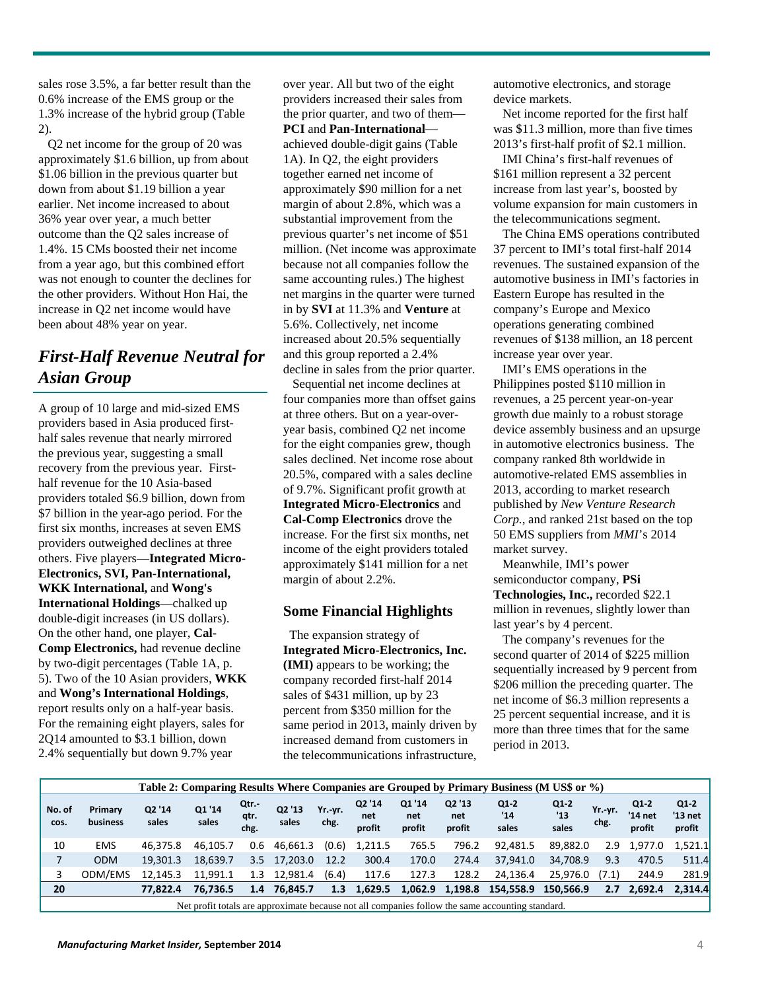sales rose 3.5%, a far better result than the 0.6% increase of the EMS group or the 1.3% increase of the hybrid group (Table 2).

Q2 net income for the group of 20 was approximately \$1.6 billion, up from about \$1.06 billion in the previous quarter but down from about \$1.19 billion a year earlier. Net income increased to about 36% year over year, a much better outcome than the Q2 sales increase of 1.4%. 15 CMs boosted their net income from a year ago, but this combined effort was not enough to counter the declines for the other providers. Without Hon Hai, the increase in Q2 net income would have been about 48% year on year.

# *First-Half Revenue Neutral for Asian Group*

A group of 10 large and mid-sized EMS providers based in Asia produced firsthalf sales revenue that nearly mirrored the previous year, suggesting a small recovery from the previous year. Firsthalf revenue for the 10 Asia-based providers totaled \$6.9 billion, down from \$7 billion in the year-ago period. For the first six months, increases at seven EMS providers outweighed declines at three others. Five players—**Integrated Micro-Electronics, SVI, Pan-International, WKK International,** and **Wong's International Holdings**—chalked up double-digit increases (in US dollars). On the other hand, one player, **Cal-Comp Electronics,** had revenue decline by two-digit percentages (Table 1A, p. 5). Two of the 10 Asian providers, **WKK** and **Wong's International Holdings**, report results only on a half-year basis. For the remaining eight players, sales for 2Q14 amounted to \$3.1 billion, down 2.4% sequentially but down 9.7% year

over year. All but two of the eight providers increased their sales from the prior quarter, and two of them— **PCI** and **Pan-International** achieved double-digit gains (Table 1A). In Q2, the eight providers together earned net income of approximately \$90 million for a net margin of about 2.8%, which was a substantial improvement from the previous quarter's net income of \$51 million. (Net income was approximate because not all companies follow the same accounting rules.) The highest net margins in the quarter were turned in by **SVI** at 11.3% and **Venture** at 5.6%. Collectively, net income increased about 20.5% sequentially and this group reported a 2.4% decline in sales from the prior quarter.

Sequential net income declines at four companies more than offset gains at three others. But on a year-overyear basis, combined Q2 net income for the eight companies grew, though sales declined. Net income rose about 20.5%, compared with a sales decline of 9.7%. Significant profit growth at **Integrated Micro-Electronics** and **Cal-Comp Electronics** drove the increase. For the first six months, net income of the eight providers totaled approximately \$141 million for a net margin of about 2.2%.

#### **Some Financial Highlights**

The expansion strategy of **Integrated Micro-Electronics, Inc. (IMI)** appears to be working; the company recorded first-half 2014 sales of \$431 million, up by 23 percent from \$350 million for the same period in 2013, mainly driven by increased demand from customers in the telecommunications infrastructure,

automotive electronics, and storage device markets.

Net income reported for the first half was \$11.3 million, more than five times 2013's first-half profit of \$2.1 million.

IMI China's first-half revenues of \$161 million represent a 32 percent increase from last year's, boosted by volume expansion for main customers in the telecommunications segment.

The China EMS operations contributed 37 percent to IMI's total first-half 2014 revenues. The sustained expansion of the automotive business in IMI's factories in Eastern Europe has resulted in the company's Europe and Mexico operations generating combined revenues of \$138 million, an 18 percent increase year over year.

IMI's EMS operations in the Philippines posted \$110 million in revenues, a 25 percent year-on-year growth due mainly to a robust storage device assembly business and an upsurge in automotive electronics business. The company ranked 8th worldwide in automotive-related EMS assemblies in 2013, according to market research published by *New Venture Research Corp.*, and ranked 21st based on the top 50 EMS suppliers from *MMI*'s 2014 market survey.

Meanwhile, IMI's power semiconductor company, **PSi Technologies, Inc.,** recorded \$22.1 million in revenues, slightly lower than last year's by 4 percent.

The company's revenues for the second quarter of 2014 of \$225 million sequentially increased by 9 percent from \$206 million the preceding quarter. The net income of \$6.3 million represents a 25 percent sequential increase, and it is more than three times that for the same period in 2013.

|                | Table 2: Comparing Results Where Companies are Grouped by Primary Business (M US\$ or %)         |                 |                 |                      |                 |                 |                         |                         |                         |                        |                        |                 |                           |                             |
|----------------|--------------------------------------------------------------------------------------------------|-----------------|-----------------|----------------------|-----------------|-----------------|-------------------------|-------------------------|-------------------------|------------------------|------------------------|-----------------|---------------------------|-----------------------------|
| No. of<br>COS. | Primary<br>business                                                                              | Q2 '14<br>sales | Q1 '14<br>sales | Qtr.<br>qtr.<br>chg. | Q2 '13<br>sales | Yr. yr.<br>chg. | Q2 '14<br>net<br>profit | Q1 '14<br>net<br>profit | Q2 '13<br>net<br>profit | $Q1-2$<br>'14<br>sales | $Q1-2$<br>'13<br>sales | Yr. yr.<br>chg. | Q1-2<br>'14 net<br>profit | $Q1-2$<br>'13 net<br>profit |
| 10             | <b>EMS</b>                                                                                       | 46.375.8        | 46.105.7        | 0.6                  | 46.661.3        | (0.6)           | 1,211.5                 | 765.5                   | 796.2                   | 92,481.5               | 89.882.0               | 2.9             | 1,977.0                   | 1,521.1                     |
| 7              | <b>ODM</b>                                                                                       | 19.301.3        | 18.639.7        | 3.5                  | 17,203.0        | 12.2            | 300.4                   | 170.0                   | 274.4                   | 37.941.0               | 34.708.9               | 9.3             | 470.5                     | 511.4                       |
| 3              | ODM/EMS                                                                                          | 12.145.3        | 11.991.1        | 1.3                  | 12.981.4        | (6.4)           | 117.6                   | 127.3                   | 128.2                   | 24.136.4               | 25.976.0               | (7.1)           | 244.9                     | 281.9                       |
| 20             |                                                                                                  | 77.822.4        | 76.736.5        | 1.4                  | 76.845.7        | 1.3             | 1,629.5                 | 1.062.9                 | 1,198.8                 | 154.558.9              | 150.566.9              | 2.7             | 2.692.4                   | 2.314.4                     |
|                | Net profit totals are approximate because not all companies follow the same accounting standard. |                 |                 |                      |                 |                 |                         |                         |                         |                        |                        |                 |                           |                             |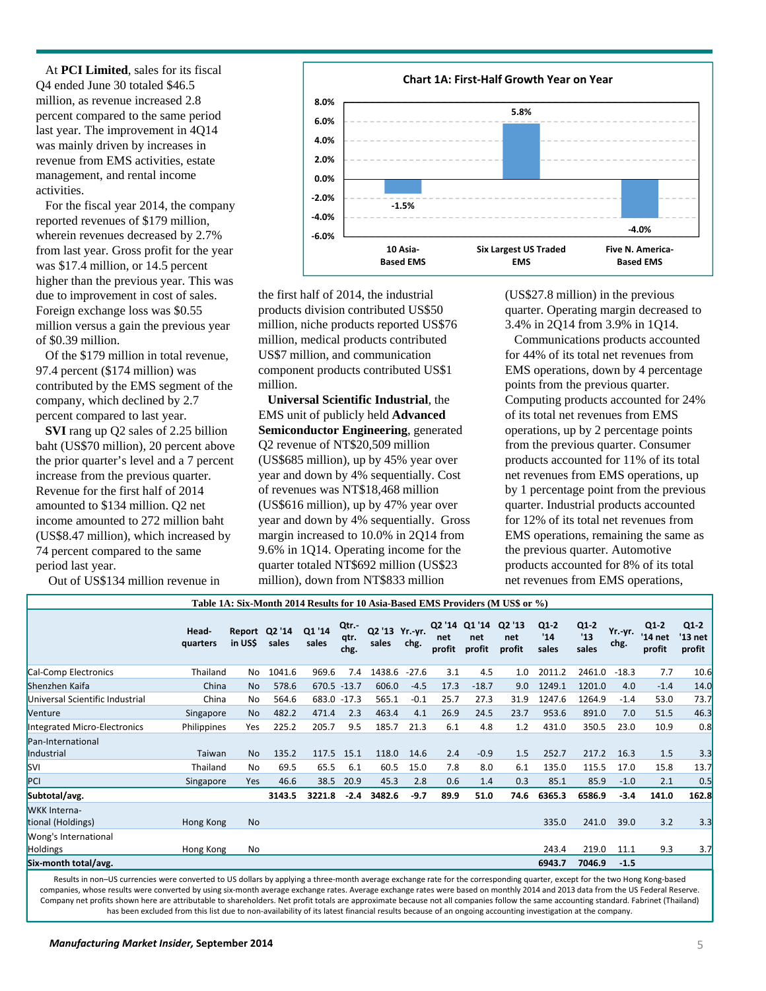At **PCI Limited**, sales for its fiscal Q4 ended June 30 totaled \$46.5 million, as revenue increased 2.8 percent compared to the same period last year. The improvement in 4Q14 was mainly driven by increases in revenue from EMS activities, estate management, and rental income activities.

For the fiscal year 2014, the company reported revenues of \$179 million, wherein revenues decreased by 2.7% from last year. Gross profit for the year was \$17.4 million, or 14.5 percent higher than the previous year. This was due to improvement in cost of sales. Foreign exchange loss was \$0.55 million versus a gain the previous year of \$0.39 million.

Of the \$179 million in total revenue, 97.4 percent (\$174 million) was contributed by the EMS segment of the company, which declined by 2.7 percent compared to last year.

**SVI** rang up Q2 sales of 2.25 billion baht (US\$70 million), 20 percent above the prior quarter's level and a 7 percent increase from the previous quarter. Revenue for the first half of 2014 amounted to \$134 million. Q2 net income amounted to 272 million baht (US\$8.47 million), which increased by 74 percent compared to the same period last year.

Out of US\$134 million revenue in



the first half of 2014, the industrial products division contributed US\$50 million, niche products reported US\$76 million, medical products contributed US\$7 million, and communication component products contributed US\$1 million.

**Universal Scientific Industrial**, the EMS unit of publicly held **Advanced Semiconductor Engineering**, generated Q2 revenue of NT\$20,509 million (US\$685 million), up by 45% year over year and down by 4% sequentially. Cost of revenues was NT\$18,468 million (US\$616 million), up by 47% year over year and down by 4% sequentially. Gross margin increased to 10.0% in 2Q14 from 9.6% in 1Q14. Operating income for the quarter totaled NT\$692 million (US\$23 million), down from NT\$833 million

(US\$27.8 million) in the previous quarter. Operating margin decreased to 3.4% in 2Q14 from 3.9% in 1Q14.

Communications products accounted for 44% of its total net revenues from EMS operations, down by 4 percentage points from the previous quarter. Computing products accounted for 24% of its total net revenues from EMS operations, up by 2 percentage points from the previous quarter. Consumer products accounted for 11% of its total net revenues from EMS operations, up by 1 percentage point from the previous quarter. Industrial products accounted for 12% of its total net revenues from EMS operations, remaining the same as the previous quarter. Automotive products accounted for 8% of its total net revenues from EMS operations,

|                                          |                   |                         |        |                 |                      |                         |         |               |                                | Table 1A: Six-Month 2014 Results for 10 Asia-Based EMS Providers (M US\$ or %) |                        |                        |                 |                             |                             |
|------------------------------------------|-------------------|-------------------------|--------|-----------------|----------------------|-------------------------|---------|---------------|--------------------------------|--------------------------------------------------------------------------------|------------------------|------------------------|-----------------|-----------------------------|-----------------------------|
|                                          | Head-<br>quarters | Report Q2'14<br>in US\$ | sales  | Q1 '14<br>sales | Qtr.<br>qtr.<br>chg. | Q2 '13 Yr. yr.<br>sales | chg.    | net<br>profit | Q2 '14 Q1 '14<br>net<br>profit | Q2 '13<br>net<br>profit                                                        | $Q1-2$<br>'14<br>sales | $Q1-2$<br>'13<br>sales | Yr. yr.<br>chg. | $Q1-2$<br>'14 net<br>profit | $Q1-2$<br>'13 net<br>profit |
| Cal-Comp Electronics                     | Thailand          | No                      | 1041.6 | 969.6           | 7.4                  | 1438.6                  | $-27.6$ | 3.1           | 4.5                            | 1.0                                                                            | 2011.2                 | 2461.0                 | $-18.3$         | 7.7                         | 10.6                        |
| Shenzhen Kaifa                           | China             | <b>No</b>               | 578.6  | 670.5 -13.7     |                      | 606.0                   | $-4.5$  | 17.3          | $-18.7$                        | 9.0                                                                            | 1249.1                 | 1201.0                 | 4.0             | $-1.4$                      | 14.0                        |
| Universal Scientific Industrial          | China             | No                      | 564.6  | 683.0 -17.3     |                      | 565.1                   | $-0.1$  | 25.7          | 27.3                           | 31.9                                                                           | 1247.6                 | 1264.9                 | $-1.4$          | 53.0                        | 73.7                        |
| Venture                                  | Singapore         | <b>No</b>               | 482.2  | 471.4           | 2.3                  | 463.4                   | 4.1     | 26.9          | 24.5                           | 23.7                                                                           | 953.6                  | 891.0                  | 7.0             | 51.5                        | 46.3                        |
| Integrated Micro-Electronics             | Philippines       | Yes                     | 225.2  | 205.7           | 9.5                  | 185.7                   | 21.3    | 6.1           | 4.8                            | 1.2                                                                            | 431.0                  | 350.5                  | 23.0            | 10.9                        | 0.8                         |
| Pan-International<br>Industrial          | Taiwan            | <b>No</b>               | 135.2  | 117.5           | 15.1                 | 118.0                   | 14.6    | 2.4           | $-0.9$                         | 1.5                                                                            | 252.7                  | 217.2                  | 16.3            | 1.5                         | 3.3                         |
| <b>SVI</b>                               | Thailand          | No                      | 69.5   | 65.5            | 6.1                  | 60.5                    | 15.0    | 7.8           | 8.0                            | 6.1                                                                            | 135.0                  | 115.5                  | 17.0            | 15.8                        | 13.7                        |
| PCI                                      | Singapore         | Yes                     | 46.6   | 38.5            | 20.9                 | 45.3                    | 2.8     | 0.6           | 1.4                            | 0.3                                                                            | 85.1                   | 85.9                   | $-1.0$          | 2.1                         | 0.5                         |
| Subtotal/avg.                            |                   |                         | 3143.5 | 3221.8          | $-2.4$               | 3482.6                  | $-9.7$  | 89.9          | 51.0                           | 74.6                                                                           | 6365.3                 | 6586.9                 | $-3.4$          | 141.0                       | 162.8                       |
| <b>WKK</b> Interna-<br>tional (Holdings) | Hong Kong         | <b>No</b>               |        |                 |                      |                         |         |               |                                |                                                                                | 335.0                  | 241.0                  | 39.0            | 3.2                         | 3.3                         |
| Wong's International<br><b>Holdings</b>  | Hong Kong         | No                      |        |                 |                      |                         |         |               |                                |                                                                                | 243.4                  | 219.0                  | 11.1            | 9.3                         | 3.7                         |
| Six-month total/avg.                     |                   |                         |        |                 |                      |                         |         |               |                                |                                                                                | 6943.7                 | 7046.9                 | $-1.5$          |                             |                             |

Results in non–US currencies were converted to US dollars by applying a three-month average exchange rate for the corresponding quarter, except for the two Hong Kong-based companies, whose results were converted by using six-month average exchange rates. Average exchange rates were based on monthly 2014 and 2013 data from the US Federal Reserve. Company net profits shown here are attributable to shareholders. Net profit totals are approximate because not all companies follow the same accounting standard. Fabrinet (Thailand) has been excluded from this list due to non-availability of its latest financial results because of an ongoing accounting investigation at the company.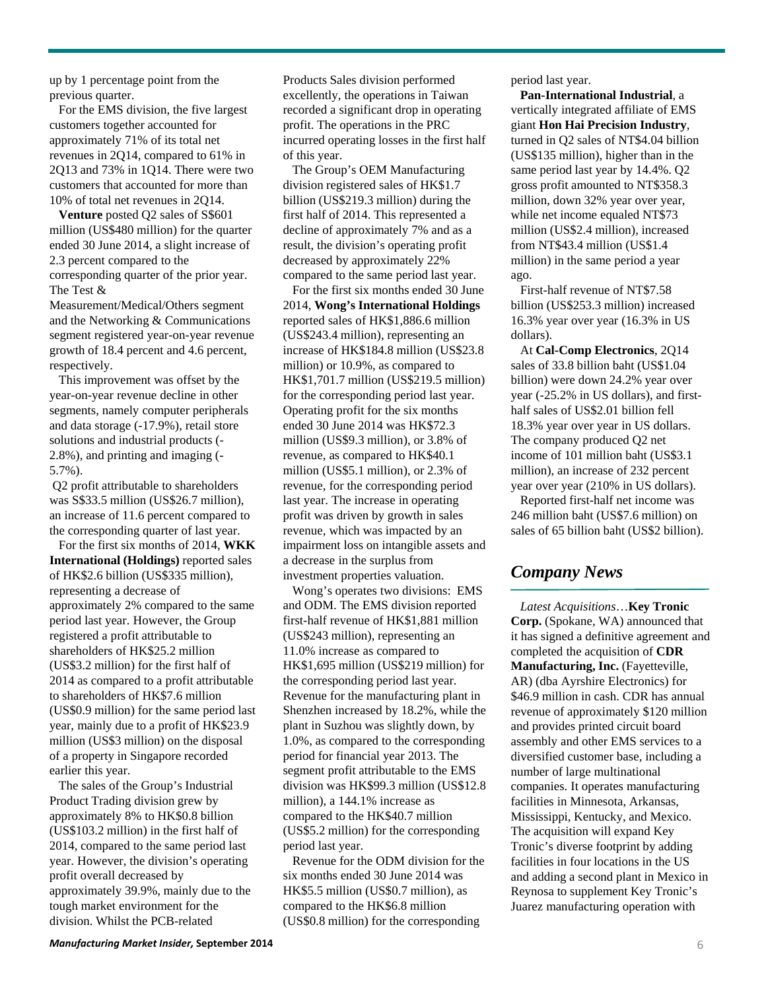up by 1 percentage point from the previous quarter.

For the EMS division, the five largest customers together accounted for approximately 71% of its total net revenues in 2Q14, compared to 61% in 2Q13 and 73% in 1Q14. There were two customers that accounted for more than 10% of total net revenues in 2Q14.

**Venture** posted Q2 sales of S\$601 million (US\$480 million) for the quarter ended 30 June 2014, a slight increase of 2.3 percent compared to the corresponding quarter of the prior year. The Test &

Measurement/Medical/Others segment and the Networking & Communications segment registered year-on-year revenue growth of 18.4 percent and 4.6 percent, respectively.

This improvement was offset by the year-on-year revenue decline in other segments, namely computer peripherals and data storage (-17.9%), retail store solutions and industrial products (- 2.8%), and printing and imaging (- 5.7%).

Q2 profit attributable to shareholders was S\$33.5 million (US\$26.7 million), an increase of 11.6 percent compared to the corresponding quarter of last year.

For the first six months of 2014, **WKK International (Holdings)** reported sales of HK\$2.6 billion (US\$335 million), representing a decrease of approximately 2% compared to the same period last year. However, the Group registered a profit attributable to shareholders of HK\$25.2 million (US\$3.2 million) for the first half of 2014 as compared to a profit attributable to shareholders of HK\$7.6 million (US\$0.9 million) for the same period last year, mainly due to a profit of HK\$23.9 million (US\$3 million) on the disposal of a property in Singapore recorded earlier this year.

The sales of the Group's Industrial Product Trading division grew by approximately 8% to HK\$0.8 billion (US\$103.2 million) in the first half of 2014, compared to the same period last year. However, the division's operating profit overall decreased by approximately 39.9%, mainly due to the tough market environment for the division. Whilst the PCB-related

Products Sales division performed excellently, the operations in Taiwan recorded a significant drop in operating profit. The operations in the PRC incurred operating losses in the first half of this year.

The Group's OEM Manufacturing division registered sales of HK\$1.7 billion (US\$219.3 million) during the first half of 2014. This represented a decline of approximately 7% and as a result, the division's operating profit decreased by approximately 22% compared to the same period last year.

For the first six months ended 30 June 2014, **Wong's International Holdings**  reported sales of HK\$1,886.6 million (US\$243.4 million), representing an increase of HK\$184.8 million (US\$23.8 million) or 10.9%, as compared to HK\$1,701.7 million (US\$219.5 million) for the corresponding period last year. Operating profit for the six months ended 30 June 2014 was HK\$72.3 million (US\$9.3 million), or 3.8% of revenue, as compared to HK\$40.1 million (US\$5.1 million), or 2.3% of revenue, for the corresponding period last year. The increase in operating profit was driven by growth in sales revenue, which was impacted by an impairment loss on intangible assets and a decrease in the surplus from investment properties valuation.

Wong's operates two divisions: EMS and ODM. The EMS division reported first-half revenue of HK\$1,881 million (US\$243 million), representing an 11.0% increase as compared to HK\$1,695 million (US\$219 million) for the corresponding period last year. Revenue for the manufacturing plant in Shenzhen increased by 18.2%, while the plant in Suzhou was slightly down, by 1.0%, as compared to the corresponding period for financial year 2013. The segment profit attributable to the EMS division was HK\$99.3 million (US\$12.8 million), a 144.1% increase as compared to the HK\$40.7 million (US\$5.2 million) for the corresponding period last year.

Revenue for the ODM division for the six months ended 30 June 2014 was HK\$5.5 million (US\$0.7 million), as compared to the HK\$6.8 million (US\$0.8 million) for the corresponding

period last year.

**Pan-International Industrial**, a vertically integrated affiliate of EMS giant **Hon Hai Precision Industry**, turned in Q2 sales of NT\$4.04 billion (US\$135 million), higher than in the same period last year by 14.4%. Q2 gross profit amounted to NT\$358.3 million, down 32% year over year, while net income equaled NT\$73 million (US\$2.4 million), increased from NT\$43.4 million (US\$1.4 million) in the same period a year ago.

First-half revenue of NT\$7.58 billion (US\$253.3 million) increased 16.3% year over year (16.3% in US dollars).

At **Cal-Comp Electronics**, 2Q14 sales of 33.8 billion baht (US\$1.04 billion) were down 24.2% year over year (-25.2% in US dollars), and firsthalf sales of US\$2.01 billion fell 18.3% year over year in US dollars. The company produced Q2 net income of 101 million baht (US\$3.1 million), an increase of 232 percent year over year (210% in US dollars).

Reported first-half net income was 246 million baht (US\$7.6 million) on sales of 65 billion baht (US\$2 billion).

# *Company News*

*Latest Acquisitions*…**Key Tronic Corp.** (Spokane, WA) announced that it has signed a definitive agreement and completed the acquisition of **CDR Manufacturing, Inc.** (Fayetteville, AR) (dba Ayrshire Electronics) for \$46.9 million in cash. CDR has annual revenue of approximately \$120 million and provides printed circuit board assembly and other EMS services to a diversified customer base, including a number of large multinational companies. It operates manufacturing facilities in Minnesota, Arkansas, Mississippi, Kentucky, and Mexico. The acquisition will expand Key Tronic's diverse footprint by adding facilities in four locations in the US and adding a second plant in Mexico in Reynosa to supplement Key Tronic's Juarez manufacturing operation with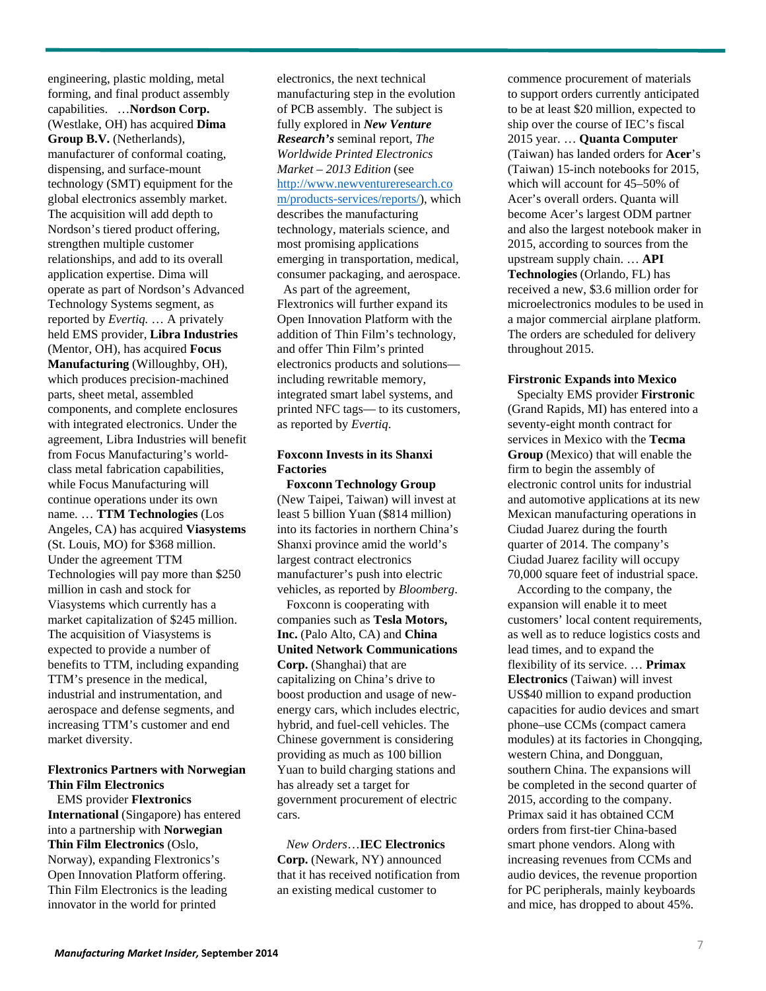engineering, plastic molding, metal forming, and final product assembly capabilities. …**Nordson Corp.**  (Westlake, OH) has acquired **Dima Group B.V.** (Netherlands), manufacturer of conformal coating, dispensing, and surface-mount technology (SMT) equipment for the global electronics assembly market. The acquisition will add depth to Nordson's tiered product offering, strengthen multiple customer relationships, and add to its overall application expertise. Dima will operate as part of Nordson's Advanced Technology Systems segment, as reported by *Evertiq.* … A privately held EMS provider, **Libra Industries**  (Mentor, OH), has acquired **Focus Manufacturing** (Willoughby, OH), which produces precision-machined parts, sheet metal, assembled components, and complete enclosures with integrated electronics. Under the agreement, Libra Industries will benefit from Focus Manufacturing's worldclass metal fabrication capabilities, while Focus Manufacturing will continue operations under its own name. … **TTM Technologies** (Los Angeles, CA) has acquired **Viasystems** (St. Louis, MO) for \$368 million. Under the agreement TTM Technologies will pay more than \$250 million in cash and stock for Viasystems which currently has a market capitalization of \$245 million. The acquisition of Viasystems is expected to provide a number of benefits to TTM, including expanding TTM's presence in the medical, industrial and instrumentation, and aerospace and defense segments, and increasing TTM's customer and end market diversity.

#### **Flextronics Partners with Norwegian Thin Film Electronics**

EMS provider **Flextronics International** (Singapore) has entered into a partnership with **Norwegian Thin Film Electronics** (Oslo, Norway), expanding Flextronics's Open Innovation Platform offering. Thin Film Electronics is the leading innovator in the world for printed

electronics, the next technical manufacturing step in the evolution of PCB assembly. The subject is fully explored in *New Venture Research's* seminal report, *The Worldwide Printed Electronics Market – 2013 Edition* (see http://www.newventureresearch.co m/products-services/reports/), which describes the manufacturing technology, materials science, and most promising applications emerging in transportation, medical, consumer packaging, and aerospace.

As part of the agreement, Flextronics will further expand its Open Innovation Platform with the addition of Thin Film's technology, and offer Thin Film's printed electronics products and solutions including rewritable memory, integrated smart label systems, and printed NFC tags— to its customers, as reported by *Evertiq*.

#### **Foxconn Invests in its Shanxi Factories**

**Foxconn Technology Group**  (New Taipei, Taiwan) will invest at least 5 billion Yuan (\$814 million) into its factories in northern China's Shanxi province amid the world's largest contract electronics manufacturer's push into electric vehicles, as reported by *Bloomberg*.

Foxconn is cooperating with companies such as **Tesla Motors, Inc.** (Palo Alto, CA) and **China United Network Communications Corp.** (Shanghai) that are capitalizing on China's drive to boost production and usage of newenergy cars, which includes electric, hybrid, and fuel-cell vehicles. The Chinese government is considering providing as much as 100 billion Yuan to build charging stations and has already set a target for government procurement of electric cars.

### *New Orders*…**IEC Electronics Corp.** (Newark, NY) announced that it has received notification from an existing medical customer to

commence procurement of materials to support orders currently anticipated to be at least \$20 million, expected to ship over the course of IEC's fiscal 2015 year. … **Quanta Computer**  (Taiwan) has landed orders for **Acer**'s (Taiwan) 15-inch notebooks for 2015, which will account for 45–50% of Acer's overall orders. Quanta will become Acer's largest ODM partner and also the largest notebook maker in 2015, according to sources from the upstream supply chain. … **API Technologies** (Orlando, FL) has received a new, \$3.6 million order for microelectronics modules to be used in a major commercial airplane platform. The orders are scheduled for delivery throughout 2015.

#### **Firstronic Expands into Mexico**

Specialty EMS provider **Firstronic** (Grand Rapids, MI) has entered into a seventy-eight month contract for services in Mexico with the **Tecma Group** (Mexico) that will enable the firm to begin the assembly of electronic control units for industrial and automotive applications at its new Mexican manufacturing operations in Ciudad Juarez during the fourth quarter of 2014. The company's Ciudad Juarez facility will occupy 70,000 square feet of industrial space.

According to the company, the expansion will enable it to meet customers' local content requirements, as well as to reduce logistics costs and lead times, and to expand the flexibility of its service. … **Primax Electronics** (Taiwan) will invest US\$40 million to expand production capacities for audio devices and smart phone–use CCMs (compact camera modules) at its factories in Chongqing, western China, and Dongguan, southern China. The expansions will be completed in the second quarter of 2015, according to the company. Primax said it has obtained CCM orders from first-tier China-based smart phone vendors. Along with increasing revenues from CCMs and audio devices, the revenue proportion for PC peripherals, mainly keyboards and mice, has dropped to about 45%.